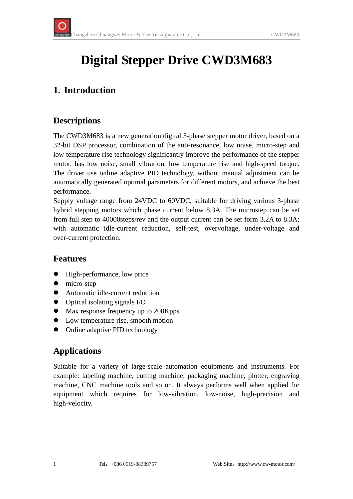# **Digital Stepper Drive CWD3M683**

# **1. Introduction**

## **Descriptions**

The CWD3M683 is a new generation digital 3-phase stepper motor driver, based on a 32-bit DSP processor, combination of the anti-resonance, low noise, micro-step and low temperature rise technology significantly improve the performance of the stepper motor, has low noise, small vibration, low temperature rise and high-speed torque. The driver use online adaptive PID technology, without manual adjustment can be automatically generated optimal parameters for different motors, and achieve the best performance.

Supply voltage range from 24VDC to 60VDC, suitable for driving various 3-phase hybrid stepping motors which phase current below 8.3A. The microstep can be set from full step to 40000steps/rev and the output current can be set form 3.2A to 8.3A; with automatic idle-current reduction, self-test, overvoltage, under-voltage and over-current protection.

#### **Features**

- High-performance, low price
- $\bullet$  micro-step
- Automatic idle-current reduction
- $\bullet$  Optical isolating signals I/O
- Max response frequency up to 200Kpps
- Low temperature rise, smooth motion
- Online adaptive PID technology

## **Applications**

Suitable for a variety of large-scale automation equipments and instruments. For example: labeling machine, cutting machine, packaging machine, plotter, engraving machine, CNC machine tools and so on. It always performs well when applied for equipment which requires for low-vibration, low-noise, high-precision and high-velocity.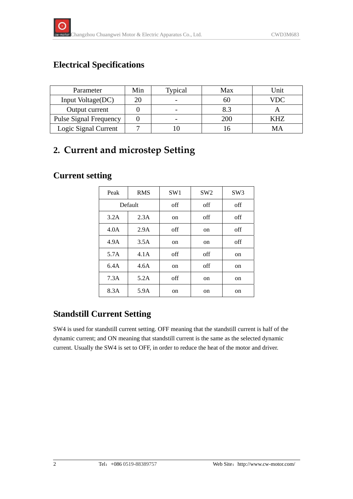## **Electrical Specifications**

| Parameter                     | Min | Typical | Max | Jnit |
|-------------------------------|-----|---------|-----|------|
| Input Voltage(DC)             |     |         | 60  | VDC  |
| Output current                |     |         | 8.3 |      |
| <b>Pulse Signal Frequency</b> |     |         | 200 | KHZ  |
| Logic Signal Current          |     |         |     |      |

# **2. Current and microstep Setting**

### **Current setting**

| Peak    | <b>RMS</b> | SW <sub>1</sub> | SW <sub>2</sub> | SW <sub>3</sub> |
|---------|------------|-----------------|-----------------|-----------------|
| Default |            | off             | off             | off             |
| 3.2A    | 2.3A       | on              | off             | off             |
| 4.0A    | 2.9A       | off             | <sub>on</sub>   | off             |
| 4.9A    | 3.5A       | on              | <sub>on</sub>   | off             |
| 5.7A    | 4.1A       | off             | off             | on              |
| 6.4A    | 4.6A       | on              | off             | on              |
| 7.3A    | 5.2A       | off             | <sub>on</sub>   | on              |
| 8.3A    | 5.9A       | on              | on              | on              |

## **Standstill Current Setting**

SW4 is used for standstill current setting. OFF meaning that the standstill current is half of the dynamic current; and ON meaning that standstill current is the same as the selected dynamic current. Usually the SW4 is set to OFF, in order to reduce the heat of the motor and driver.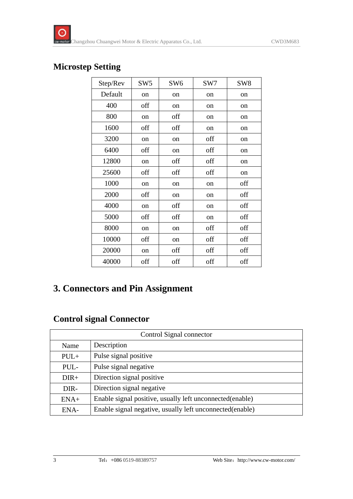### **Microstep Setting**

| Step/Rev | SW <sub>5</sub> | SW <sub>6</sub> | SW7 | SW <sub>8</sub> |
|----------|-----------------|-----------------|-----|-----------------|
| Default  | on              | on              | on  | on              |
| 400      | off             | on              | on  | on              |
| 800      | <sub>on</sub>   | off             | on  | <sub>on</sub>   |
| 1600     | off             | off             | on  | <sub>on</sub>   |
| 3200     | on              | on              | off | on              |
| 6400     | off             | on              | off | on              |
| 12800    | on              | off             | off | on              |
| 25600    | off             | off             | off | on              |
| 1000     | on              | on              | on  | off             |
| 2000     | off             | on              | on  | off             |
| 4000     | on              | off             | on  | off             |
| 5000     | off             | off             | on  | off             |
| 8000     | on              | on              | off | off             |
| 10000    | off             | on              | off | off             |
| 20000    | on              | off             | off | off             |
| 40000    | off             | off             | off | off             |

## **3. Connectors and Pin Assignment**

## **Control signal Connector**

| Control Signal connector |                                                           |  |
|--------------------------|-----------------------------------------------------------|--|
| Name                     | Description                                               |  |
| $PUL+$                   | Pulse signal positive                                     |  |
| PUL-                     | Pulse signal negative                                     |  |
| $DIR+$                   | Direction signal positive                                 |  |
| DIR-                     | Direction signal negative                                 |  |
| $ENA+$                   | Enable signal positive, usually left unconnected(enable)  |  |
| ENA-                     | Enable signal negative, usually left unconnected (enable) |  |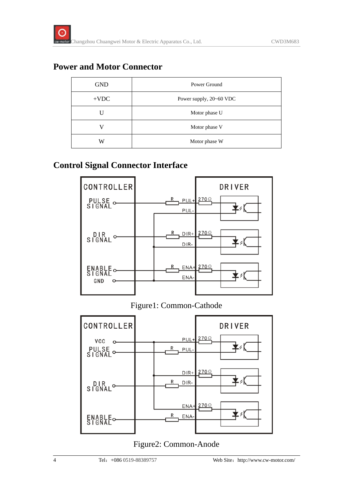#### **Power and Motor Connector**

| <b>GND</b> | Power Ground            |  |
|------------|-------------------------|--|
| $+VDC$     | Power supply, 20~60 VDC |  |
|            | Motor phase U           |  |
|            | Motor phase V           |  |
| W          | Motor phase W           |  |

### **Control Signal Connector Interface**



Figure1: Common-Cathode



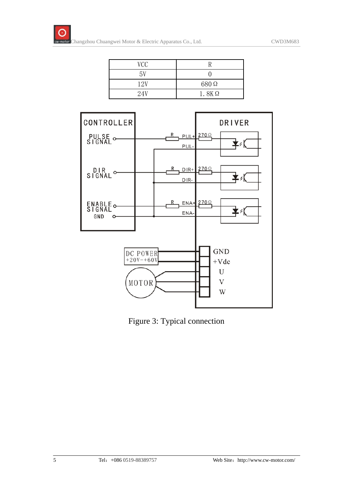| VCC |              |
|-----|--------------|
| 5V  |              |
| 12V | 680 Q        |
| 24V | $1.8K\Omega$ |



Figure 3: Typical connection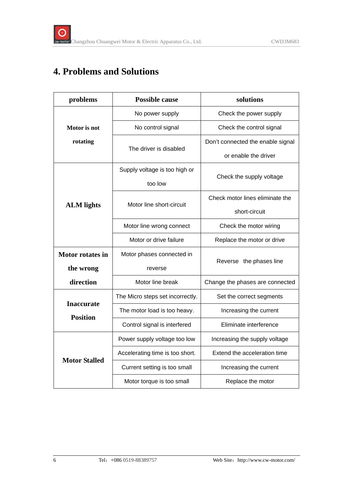# **4. Problems and Solutions**

| problems                             | <b>Possible cause</b>            | solutions                         |  |
|--------------------------------------|----------------------------------|-----------------------------------|--|
|                                      | No power supply                  | Check the power supply            |  |
| Motor is not                         | No control signal                | Check the control signal          |  |
| rotating                             |                                  | Don't connected the enable signal |  |
|                                      | The driver is disabled           | or enable the driver              |  |
|                                      | Supply voltage is too high or    |                                   |  |
|                                      | too low                          | Check the supply voltage          |  |
|                                      | Motor line short-circuit         | Check motor lines eliminate the   |  |
| <b>ALM</b> lights                    |                                  | short-circuit                     |  |
|                                      | Motor line wrong connect         | Check the motor wiring            |  |
|                                      | Motor or drive failure           | Replace the motor or drive        |  |
| <b>Motor rotates in</b>              | Motor phases connected in        |                                   |  |
| the wrong                            | reverse                          | Reverse the phases line           |  |
| direction                            | Motor line break                 | Change the phases are connected   |  |
|                                      | The Micro steps set incorrectly. | Set the correct segments          |  |
| <b>Inaccurate</b><br><b>Position</b> | The motor load is too heavy.     | Increasing the current            |  |
|                                      | Control signal is interfered     | Eliminate interference            |  |
| <b>Motor Stalled</b>                 | Power supply voltage too low     | Increasing the supply voltage     |  |
|                                      | Accelerating time is too short.  | Extend the acceleration time      |  |
|                                      | Current setting is too small     | Increasing the current            |  |
|                                      | Motor torque is too small        | Replace the motor                 |  |